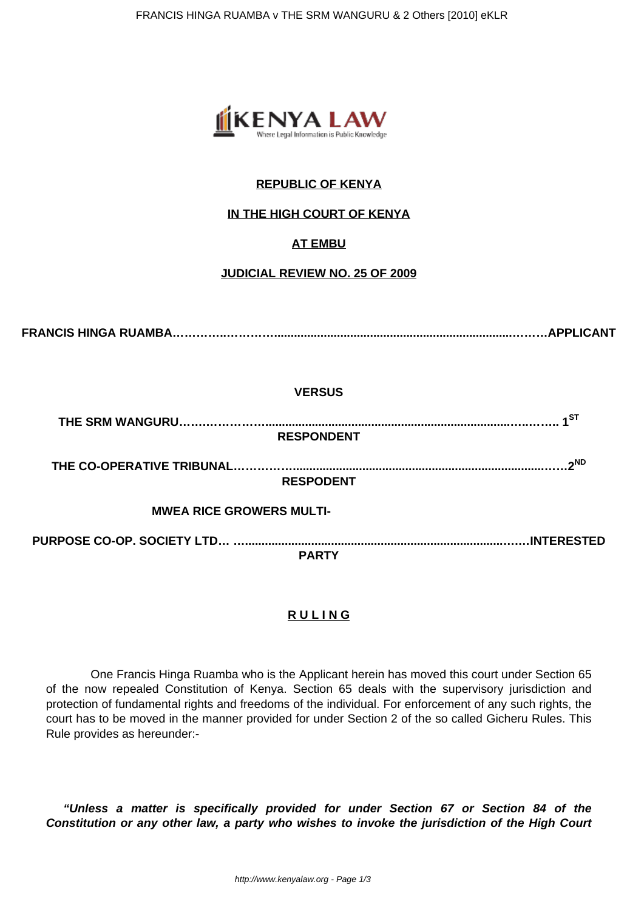

# **REPUBLIC OF KENYA**

### **IN THE HIGH COURT OF KENYA**

## **AT EMBU**

### **JUDICIAL REVIEW NO. 25 OF 2009**

**FRANCIS HINGA RUAMBA…………..…………........................................................................………APPLICANT**

#### **VERSUS**

**THE SRM WANGURU…….……………..........................................................................…..…….. 1ST RESPONDENT**

**THE CO-OPERATIVE TRIBUNAL……………............................................................................……2ND RESPODENT**

 **MWEA RICE GROWERS MULTI-**

**PURPOSE CO-OP. SOCIETY LTD… …..............................................................................….…INTERESTED PARTY**

### **R U L I N G**

 One Francis Hinga Ruamba who is the Applicant herein has moved this court under Section 65 of the now repealed Constitution of Kenya. Section 65 deals with the supervisory jurisdiction and protection of fundamental rights and freedoms of the individual. For enforcement of any such rights, the court has to be moved in the manner provided for under Section 2 of the so called Gicheru Rules. This Rule provides as hereunder:-

**"Unless a matter is specifically provided for under Section 67 or Section 84 of the Constitution or any other law, a party who wishes to invoke the jurisdiction of the High Court**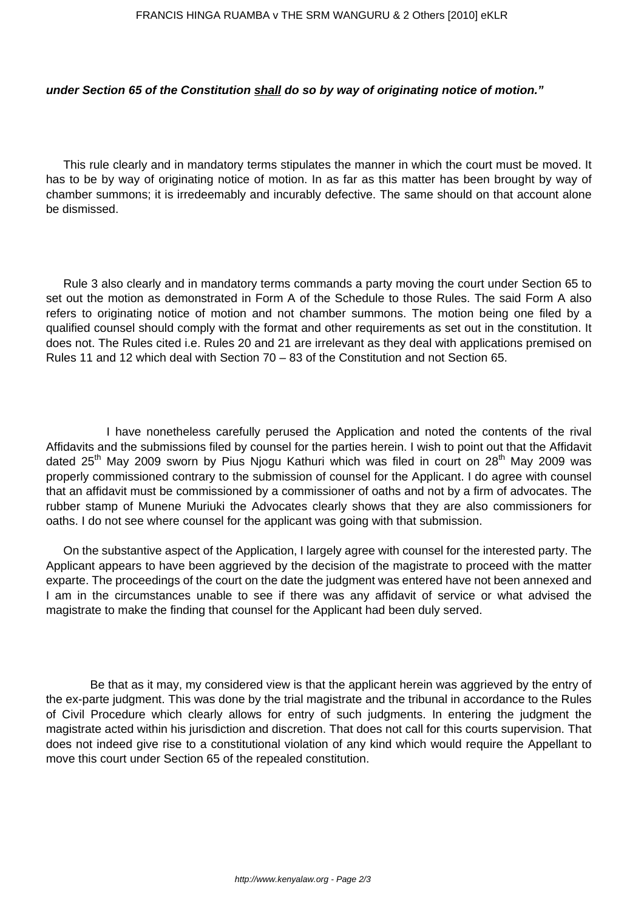#### **under Section 65 of the Constitution shall do so by way of originating notice of motion."**

This rule clearly and in mandatory terms stipulates the manner in which the court must be moved. It has to be by way of originating notice of motion. In as far as this matter has been brought by way of chamber summons; it is irredeemably and incurably defective. The same should on that account alone be dismissed.

Rule 3 also clearly and in mandatory terms commands a party moving the court under Section 65 to set out the motion as demonstrated in Form A of the Schedule to those Rules. The said Form A also refers to originating notice of motion and not chamber summons. The motion being one filed by a qualified counsel should comply with the format and other requirements as set out in the constitution. It does not. The Rules cited i.e. Rules 20 and 21 are irrelevant as they deal with applications premised on Rules 11 and 12 which deal with Section 70 – 83 of the Constitution and not Section 65.

 I have nonetheless carefully perused the Application and noted the contents of the rival Affidavits and the submissions filed by counsel for the parties herein. I wish to point out that the Affidavit dated  $25<sup>th</sup>$  May 2009 sworn by Pius Njogu Kathuri which was filed in court on  $28<sup>th</sup>$  May 2009 was properly commissioned contrary to the submission of counsel for the Applicant. I do agree with counsel that an affidavit must be commissioned by a commissioner of oaths and not by a firm of advocates. The rubber stamp of Munene Muriuki the Advocates clearly shows that they are also commissioners for oaths. I do not see where counsel for the applicant was going with that submission.

On the substantive aspect of the Application, I largely agree with counsel for the interested party. The Applicant appears to have been aggrieved by the decision of the magistrate to proceed with the matter exparte. The proceedings of the court on the date the judgment was entered have not been annexed and I am in the circumstances unable to see if there was any affidavit of service or what advised the magistrate to make the finding that counsel for the Applicant had been duly served.

 Be that as it may, my considered view is that the applicant herein was aggrieved by the entry of the ex-parte judgment. This was done by the trial magistrate and the tribunal in accordance to the Rules of Civil Procedure which clearly allows for entry of such judgments. In entering the judgment the magistrate acted within his jurisdiction and discretion. That does not call for this courts supervision. That does not indeed give rise to a constitutional violation of any kind which would require the Appellant to move this court under Section 65 of the repealed constitution.